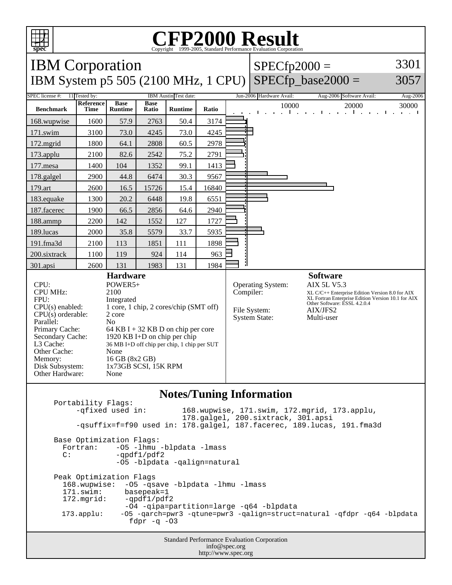

## C<sub>opyright</sub> ©1999-2005, Standard Performance Evaluation Corporation

| <b>IBM</b> Corporation<br><b>IBM System p5 505 (2100 MHz, 1 CPU)</b>                                                                                                                                         |                                                                                                                                                                                                                                                                                                       |                               |                      |                |           | $SPECfp2000 =$                                                   | SPECfp base2000 $=$                                                                                                                                                                                      | 3301<br>3057                                                                   |                                |
|--------------------------------------------------------------------------------------------------------------------------------------------------------------------------------------------------------------|-------------------------------------------------------------------------------------------------------------------------------------------------------------------------------------------------------------------------------------------------------------------------------------------------------|-------------------------------|----------------------|----------------|-----------|------------------------------------------------------------------|----------------------------------------------------------------------------------------------------------------------------------------------------------------------------------------------------------|--------------------------------------------------------------------------------|--------------------------------|
| IBM Austin Test date:<br>SPEC license #:<br>11 Tested by:                                                                                                                                                    |                                                                                                                                                                                                                                                                                                       |                               |                      |                |           |                                                                  | Jun-2006 Hardware Avail:                                                                                                                                                                                 | Aug-2006 Software Avail:                                                       | Aug-2006                       |
| <b>Benchmark</b>                                                                                                                                                                                             | Reference<br><b>Time</b>                                                                                                                                                                                                                                                                              | <b>Base</b><br><b>Runtime</b> | <b>Base</b><br>Ratio | <b>Runtime</b> | Ratio     |                                                                  | 10000<br>$\mathbf{L}$<br>$\mathcal{L}^{\text{max}}$                                                                                                                                                      | 20000<br>1.1.1.1<br>$\mathbf{u}^{\prime}$<br>.<br>$\mathbf{I}$<br>$\mathbf{I}$ | 30000<br>and a state<br>$\sim$ |
| 168.wupwise                                                                                                                                                                                                  | 1600                                                                                                                                                                                                                                                                                                  | 57.9                          | 2763                 | 50.4           | 3174      |                                                                  |                                                                                                                                                                                                          |                                                                                |                                |
| 171.swim                                                                                                                                                                                                     | 3100                                                                                                                                                                                                                                                                                                  | 73.0                          | 4245                 | 73.0           | 4245      |                                                                  |                                                                                                                                                                                                          |                                                                                |                                |
| $172$ .mgrid                                                                                                                                                                                                 | 1800                                                                                                                                                                                                                                                                                                  | 64.1                          | 2808                 | 60.5           | 2978      |                                                                  |                                                                                                                                                                                                          |                                                                                |                                |
| $173$ .applu                                                                                                                                                                                                 | 2100                                                                                                                                                                                                                                                                                                  | 82.6                          | 2542                 | 75.2           | 2791      |                                                                  |                                                                                                                                                                                                          |                                                                                |                                |
| 177.mesa                                                                                                                                                                                                     | 1400                                                                                                                                                                                                                                                                                                  | 104                           | 1352                 | 99.1           | 1413      |                                                                  |                                                                                                                                                                                                          |                                                                                |                                |
| 178.galgel                                                                                                                                                                                                   | 2900                                                                                                                                                                                                                                                                                                  | 44.8                          | 6474                 | 30.3           | 9567      |                                                                  |                                                                                                                                                                                                          |                                                                                |                                |
| 179.art                                                                                                                                                                                                      | 2600                                                                                                                                                                                                                                                                                                  | 16.5                          | 15726                | 15.4           | 16840     |                                                                  |                                                                                                                                                                                                          |                                                                                |                                |
| 183.equake                                                                                                                                                                                                   | 1300                                                                                                                                                                                                                                                                                                  | 20.2                          | 6448                 | 19.8           | 6551      |                                                                  |                                                                                                                                                                                                          |                                                                                |                                |
| 187.facerec                                                                                                                                                                                                  | 1900                                                                                                                                                                                                                                                                                                  | 66.5                          | 2856                 | 64.6           | 2940      |                                                                  |                                                                                                                                                                                                          |                                                                                |                                |
| 188.ammp                                                                                                                                                                                                     | 2200                                                                                                                                                                                                                                                                                                  | 142                           | 1552                 | 127            | 1727      |                                                                  |                                                                                                                                                                                                          |                                                                                |                                |
| 189.lucas                                                                                                                                                                                                    | 2000                                                                                                                                                                                                                                                                                                  | 35.8                          | 5579                 | 33.7           | 5935      |                                                                  |                                                                                                                                                                                                          |                                                                                |                                |
| 191.fma3d                                                                                                                                                                                                    | 2100                                                                                                                                                                                                                                                                                                  | 113                           | 1851                 | 111            | 1898      |                                                                  |                                                                                                                                                                                                          |                                                                                |                                |
| 200.sixtrack                                                                                                                                                                                                 | 1100                                                                                                                                                                                                                                                                                                  | 119                           | 924                  | 114            | 963       |                                                                  |                                                                                                                                                                                                          |                                                                                |                                |
| 301.apsi                                                                                                                                                                                                     | 2600                                                                                                                                                                                                                                                                                                  | 131                           | 1983                 | 131            | 1984      |                                                                  |                                                                                                                                                                                                          |                                                                                |                                |
| CPU:<br><b>CPU MHz:</b><br>FPU:<br>$CPU(s)$ enabled:<br>$CPU(s)$ orderable:<br>Parallel:<br>Primary Cache:<br>Secondary Cache:<br>L3 Cache:<br>Other Cache:<br>Memory:<br>Disk Subsystem:<br>Other Hardware: | <b>Hardware</b><br>POWER5+<br>2100<br>Integrated<br>1 core, 1 chip, 2 cores/chip (SMT off)<br>2 core<br>N <sub>o</sub><br>64 KB I + 32 KB D on chip per core<br>1920 KB I+D on chip per chip<br>36 MB I+D off chip per chip, 1 chip per SUT<br>None<br>16 GB (8x2 GB)<br>1x73GB SCSI, 15K RPM<br>None |                               |                      |                | Compiler: | <b>Operating System:</b><br>File System:<br><b>System State:</b> | <b>Software</b><br><b>AIX 5L V5.3</b><br>XL C/C++ Enterprise Edition Version 8.0 for AIX<br>XL Fortran Enterprise Edition Version 10.1 for AIX<br>Other Software: ESSL 4.2.0.4<br>AIX/JFS2<br>Multi-user |                                                                                |                                |

## **Notes/Tuning Information**

Portability Flags:<br>-qfixed used in: 168.wupwise, 171.swim, 172.mgrid, 173.applu, 178.galgel, 200.sixtrack, 301.apsi -qsuffix=f=f90 used in: 178.galgel, 187.facerec, 189.lucas, 191.fma3d Base Optimization Flags: Fortran: -05 -1hmu -blpdata -1mass<br>C: -ordf1/pdf2  $-qpdf1/pdf2$  -O5 -blpdata -qalign=natural Peak Optimization Flags 168.wupwise: -O5 -qsave -blpdata -lhmu -lmass 171.swim: basepeak=1<br>172.mgrid: -qpdf1/pdf  $-qpdf1/pdf2$  -O4 -qipa=partition=large -q64 -blpdata 173.applu: -O5 -qarch=pwr3 -qtune=pwr3 -qalign=struct=natural -qfdpr -q64 -blpdata fdpr  $-q$  -03

> Standard Performance Evaluation Corporation info@spec.org http://www.spec.org